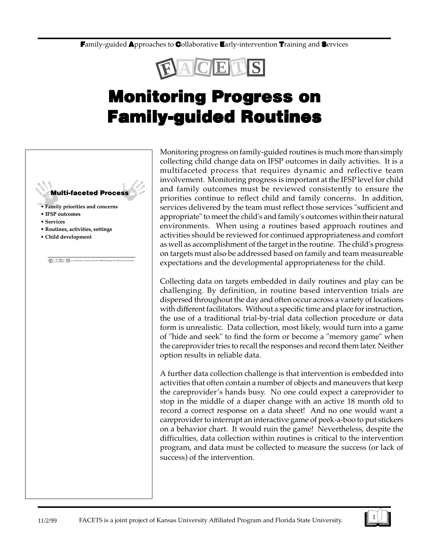**F**amily-guided **A**pproaches to **C**ollaborative **E**arly-intervention **T**raining and **S**ervices



## **Monitoring Progress on Monitoring Progress on Family-guided Routines Family-guided**

#### **Multi-faceted Process**

**F A C E <sup>T</sup> S** is a joint project of Kansas University Affiliated Program and Valdosta State University

- **Family priorities and concerns**
- **IFSP outcomes**
- **Services**
- **Routines, activities, settings**
- **Child development**

Monitoring progress on family-guided routines is much more than simply collecting child change data on IFSP outcomes in daily activities. It is a multifaceted process that requires dynamic and reflective team involvement. Monitoring progress is important at the IFSP level for child and family outcomes must be reviewed consistently to ensure the priorities continue to reflect child and family concerns. In addition, services delivered by the team must reflect those services "sufficient and appropriate" to meet the child's and family's outcomes within their natural environments. When using a routines based approach routines and activities should be reviewed for continued appropriateness and comfort as well as accomplishment of the target in the routine. The child's progress on targets must also be addressed based on family and team measureable expectations and the developmental appropriateness for the child.

Collecting data on targets embedded in daily routines and play can be challenging. By definition, in routine based intervention trials are dispersed throughout the day and often occur across a variety of locations with different facilitators. Without a specific time and place for instruction, the use of a traditional trial-by-trial data collection procedure or data form is unrealistic. Data collection, most likely, would turn into a game of "hide and seek" to find the form or become a "memory game" when the careprovider tries to recall the responses and record them later. Neither option results in reliable data.

A further data collection challenge is that intervention is embedded into activities that often contain a number of objects and maneuvers that keep the careprovider's hands busy. No one could expect a careprovider to stop in the middle of a diaper change with an active 18 month old to record a correct response on a data sheet! And no one would want a careprovider to interrupt an interactive game of peek-a-boo to put stickers on a behavior chart. It would ruin the game! Nevertheless, despite the difficulties, data collection within routines is critical to the intervention program, and data must be collected to measure the success (or lack of success) of the intervention.

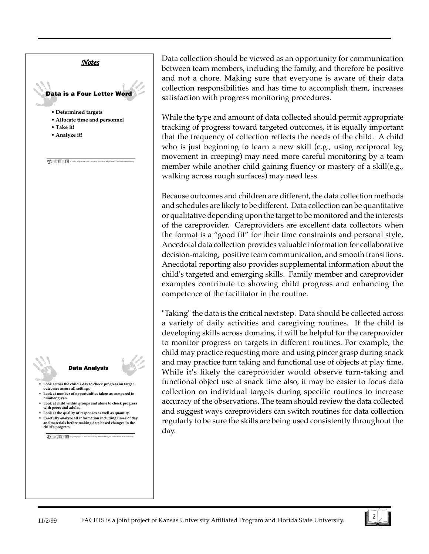

### **Data Analysis**

- **Look across the child's day to check progress on target outcomes across all settings. outcomes across all settings.**
- **Look at number of opportunities taken as compared to number given. number given.**
- **Look at child within groups and alone to check progress with peers and adult**
- **Look at the quality of responses as well as quantity. Look at quality of responses as well as quantity.** • **Carefully analyze all information including times of day and materials before making data based changes in the child's program.**

**F A C E <sup>T</sup> S** is a joint project of Kansas University Affiliated Program and Valdosta State University

Data collection should be viewed as an opportunity for communication between team members, including the family, and therefore be positive and not a chore. Making sure that everyone is aware of their data collection responsibilities and has time to accomplish them, increases satisfaction with progress monitoring procedures.

While the type and amount of data collected should permit appropriate tracking of progress toward targeted outcomes, it is equally important that the frequency of collection reflects the needs of the child. A child who is just beginning to learn a new skill (e.g., using reciprocal leg movement in creeping) may need more careful monitoring by a team member while another child gaining fluency or mastery of a skill(e.g., walking across rough surfaces) may need less.

Because outcomes and children are different, the data collection methods and schedules are likely to be different. Data collection can be quantitative or qualitative depending upon the target to be monitored and the interests of the careprovider. Careproviders are excellent data collectors when the format is a "good fit" for their time constraints and personal style. Anecdotal data collection provides valuable information for collaborative decision-making, positive team communication, and smooth transitions. Anecdotal reporting also provides supplemental information about the child's targeted and emerging skills. Family member and careprovider examples contribute to showing child progress and enhancing the competence of the facilitator in the routine.

"Taking" the data is the critical next step. Data should be collected across a variety of daily activities and caregiving routines. If the child is developing skills across domains, it will be helpful for the careprovider to monitor progress on targets in different routines. For example, the child may practice requesting more and using pincer grasp during snack and may practice turn taking and functional use of objects at play time. While it's likely the careprovider would observe turn-taking and functional object use at snack time also, it may be easier to focus data collection on individual targets during specific routines to increase accuracy of the observations. The team should review the data collected and suggest ways careproviders can switch routines for data collection regularly to be sure the skills are being used consistently throughout the day.



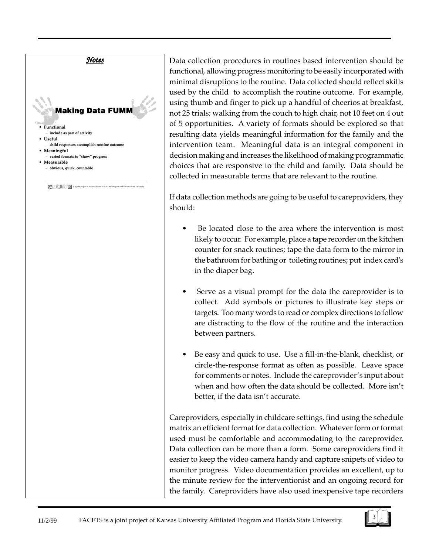

Data collection procedures in routines based intervention should be functional, allowing progress monitoring to be easily incorporated with minimal disruptions to the routine. Data collected should reflect skills used by the child to accomplish the routine outcome. For example, using thumb and finger to pick up a handful of cheerios at breakfast, not 25 trials; walking from the couch to high chair, not 10 feet on 4 out of 5 opportunities. A variety of formats should be explored so that resulting data yields meaningful information for the family and the intervention team. Meaningful data is an integral component in decision making and increases the likelihood of making programmatic choices that are responsive to the child and family. Data should be collected in measurable terms that are relevant to the routine.

If data collection methods are going to be useful to careproviders, they should:

- Be located close to the area where the intervention is most likely to occur. For example, place a tape recorder on the kitchen counter for snack routines; tape the data form to the mirror in the bathroom for bathing or toileting routines; put index card's in the diaper bag.
- Serve as a visual prompt for the data the careprovider is to collect. Add symbols or pictures to illustrate key steps or targets. Too many words to read or complex directions to follow are distracting to the flow of the routine and the interaction between partners.
- Be easy and quick to use. Use a fill-in-the-blank, checklist, or circle-the-response format as often as possible. Leave space for comments or notes. Include the careprovider's input about when and how often the data should be collected. More isn't better, if the data isn't accurate.

Careproviders, especially in childcare settings, find using the schedule matrix an efficient format for data collection. Whatever form or format used must be comfortable and accommodating to the careprovider. Data collection can be more than a form. Some careproviders find it easier to keep the video camera handy and capture snipets of video to monitor progress. Video documentation provides an excellent, up to the minute review for the interventionist and an ongoing record for the family. Careproviders have also used inexpensive tape recorders

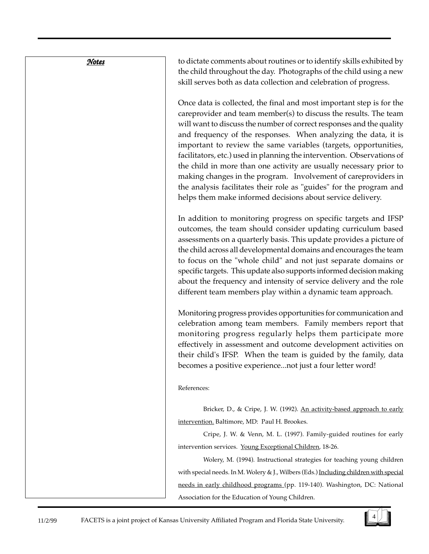**Notes** 

to dictate comments about routines or to identify skills exhibited by the child throughout the day. Photographs of the child using a new skill serves both as data collection and celebration of progress.

Once data is collected, the final and most important step is for the careprovider and team member(s) to discuss the results. The team will want to discuss the number of correct responses and the quality and frequency of the responses. When analyzing the data, it is important to review the same variables (targets, opportunities, facilitators, etc.) used in planning the intervention. Observations of the child in more than one activity are usually necessary prior to making changes in the program. Involvement of careproviders in the analysis facilitates their role as "guides" for the program and helps them make informed decisions about service delivery.

In addition to monitoring progress on specific targets and IFSP outcomes, the team should consider updating curriculum based assessments on a quarterly basis. This update provides a picture of the child across all developmental domains and encourages the team to focus on the "whole child" and not just separate domains or specific targets. This update also supports informed decision making about the frequency and intensity of service delivery and the role different team members play within a dynamic team approach.

Monitoring progress provides opportunities for communication and celebration among team members. Family members report that monitoring progress regularly helps them participate more effectively in assessment and outcome development activities on their child's IFSP. When the team is guided by the family, data becomes a positive experience...not just a four letter word!

References:

Bricker, D., & Cripe, J. W. (1992). An activity-based approach to early intervention. Baltimore, MD: Paul H. Brookes.

Cripe, J. W. & Venn, M. L. (1997). Family-guided routines for early intervention services. Young Exceptional Children, 18-26.

Wolery, M. (1994). Instructional strategies for teaching young children with special needs. In M. Wolery & J., Wilbers (Eds.) Including children with special needs in early childhood programs (pp. 119-140). Washington, DC: National Association for the Education of Young Children.

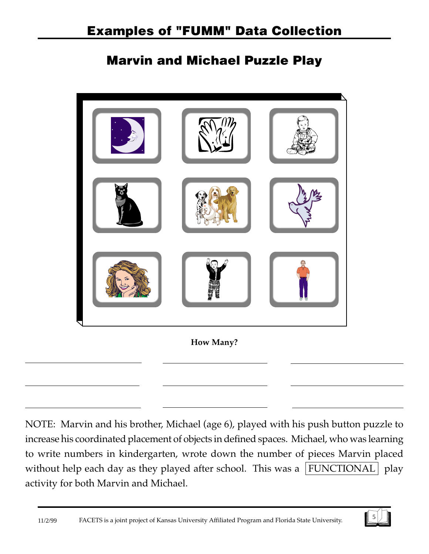### **Marvin and Michael Puzzle Play**



NOTE: Marvin and his brother, Michael (age 6), played with his push button puzzle to increase his coordinated placement of objects in defined spaces. Michael, who was learning to write numbers in kindergarten, wrote down the number of pieces Marvin placed without help each day as they played after school. This was a  $|FUNCTIONAL|$  play activity for both Marvin and Michael.

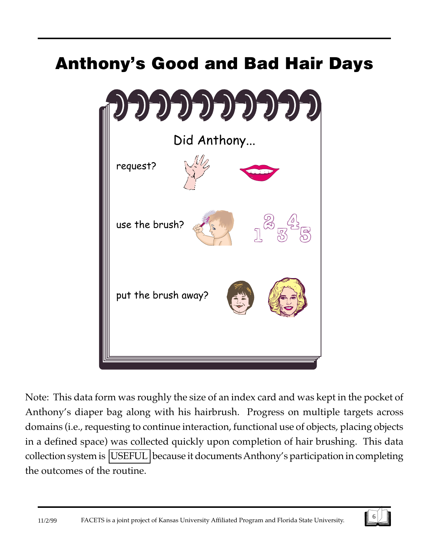# **Anthony's Good and Bad Hair Days**



Note: This data form was roughly the size of an index card and was kept in the pocket of Anthony's diaper bag along with his hairbrush. Progress on multiple targets across domains (i.e., requesting to continue interaction, functional use of objects, placing objects in a defined space) was collected quickly upon completion of hair brushing. This data collection system is USEFUL because it documents Anthony's participation in completing the outcomes of the routine.

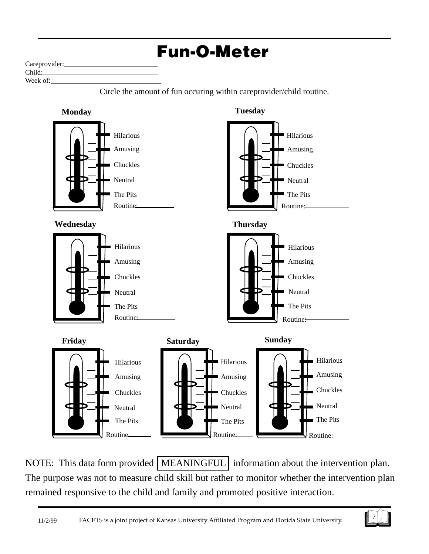

NOTE: This data form provided | MEANINGFUL | information about the intervention plan. The purpose was not to measure child skill but rather to monitor whether the intervention plan remained responsive to the child and family and promoted positive interaction.